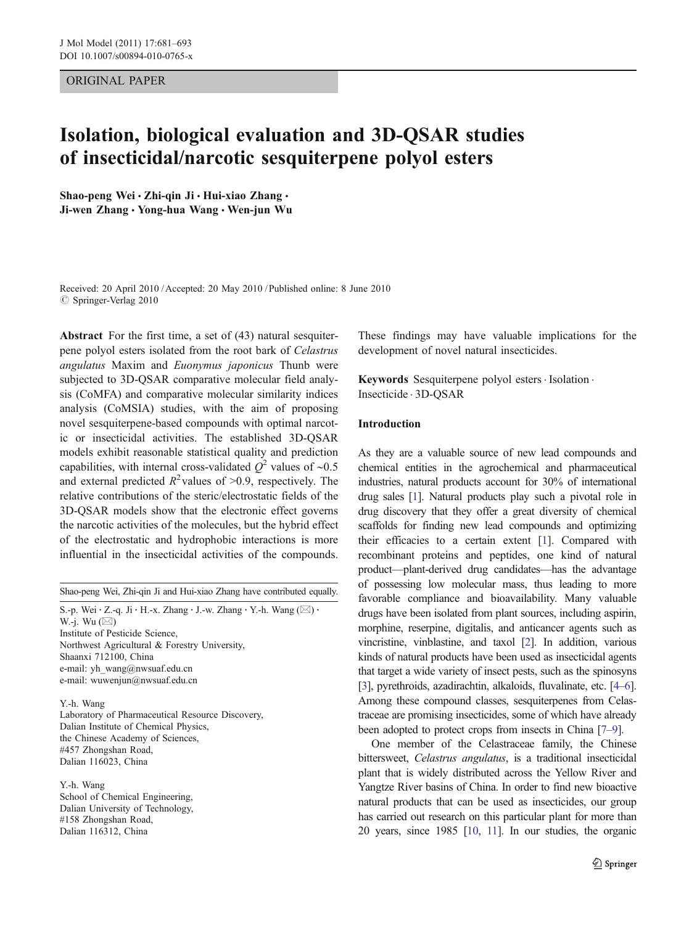## ORIGINAL PAPER

# Isolation, biological evaluation and 3D-QSAR studies of insecticidal/narcotic sesquiterpene polyol esters

Shao-peng Wei · Zhi-qin Ji · Hui-xiao Zhang · Ji-wen Zhang · Yong-hua Wang · Wen-jun Wu

Received: 20 April 2010 /Accepted: 20 May 2010 / Published online: 8 June 2010  $©$  Springer-Verlag 2010

Abstract For the first time, a set of (43) natural sesquiterpene polyol esters isolated from the root bark of Celastrus angulatus Maxim and Euonymus japonicus Thunb were subjected to 3D-QSAR comparative molecular field analysis (CoMFA) and comparative molecular similarity indices analysis (CoMSIA) studies, with the aim of proposing novel sesquiterpene-based compounds with optimal narcotic or insecticidal activities. The established 3D-QSAR models exhibit reasonable statistical quality and prediction capabilities, with internal cross-validated  $Q^2$  values of ~0.5 and external predicted  $R^2$  values of >0.9, respectively. The relative contributions of the steric/electrostatic fields of the 3D-QSAR models show that the electronic effect governs the narcotic activities of the molecules, but the hybrid effect of the electrostatic and hydrophobic interactions is more influential in the insecticidal activities of the compounds.

Shao-peng Wei, Zhi-qin Ji and Hui-xiao Zhang have contributed equally.

S.-p. Wei  $\cdot$  Z.-q. Ji  $\cdot$  H.-x. Zhang  $\cdot$  J.-w. Zhang  $\cdot$  Y.-h. Wang ( $\boxtimes$ )  $\cdot$ W.-j. Wu  $(\boxtimes)$ Institute of Pesticide Science, Northwest Agricultural & Forestry University, Shaanxi 712100, China e-mail: yh\_wang@nwsuaf.edu.cn e-mail: wuwenjun@nwsuaf.edu.cn

Y.-h. Wang Laboratory of Pharmaceutical Resource Discovery, Dalian Institute of Chemical Physics, the Chinese Academy of Sciences, #457 Zhongshan Road, Dalian 116023, China

Y.-h. Wang School of Chemical Engineering, Dalian University of Technology, #158 Zhongshan Road, Dalian 116312, China

These findings may have valuable implications for the development of novel natural insecticides.

Keywords Sesquiterpene polyol esters · Isolation . Insecticide . 3D-QSAR

## Introduction

As they are a valuable source of new lead compounds and chemical entities in the agrochemical and pharmaceutical industries, natural products account for 30% of international drug sales [\[1](#page-11-0)]. Natural products play such a pivotal role in drug discovery that they offer a great diversity of chemical scaffolds for finding new lead compounds and optimizing their efficacies to a certain extent [\[1](#page-11-0)]. Compared with recombinant proteins and peptides, one kind of natural product—plant-derived drug candidates—has the advantage of possessing low molecular mass, thus leading to more favorable compliance and bioavailability. Many valuable drugs have been isolated from plant sources, including aspirin, morphine, reserpine, digitalis, and anticancer agents such as vincristine, vinblastine, and taxol [[2\]](#page-11-0). In addition, various kinds of natural products have been used as insecticidal agents that target a wide variety of insect pests, such as the spinosyns [\[3\]](#page-11-0), pyrethroids, azadirachtin, alkaloids, fluvalinate, etc. [\[4](#page-11-0)–[6\]](#page-11-0). Among these compound classes, sesquiterpenes from Celastraceae are promising insecticides, some of which have already been adopted to protect crops from insects in China [[7](#page-11-0)–[9](#page-11-0)].

One member of the Celastraceae family, the Chinese bittersweet, Celastrus angulatus, is a traditional insecticidal plant that is widely distributed across the Yellow River and Yangtze River basins of China. In order to find new bioactive natural products that can be used as insecticides, our group has carried out research on this particular plant for more than 20 years, since 1985 [\[10,](#page-11-0) [11](#page-11-0)]. In our studies, the organic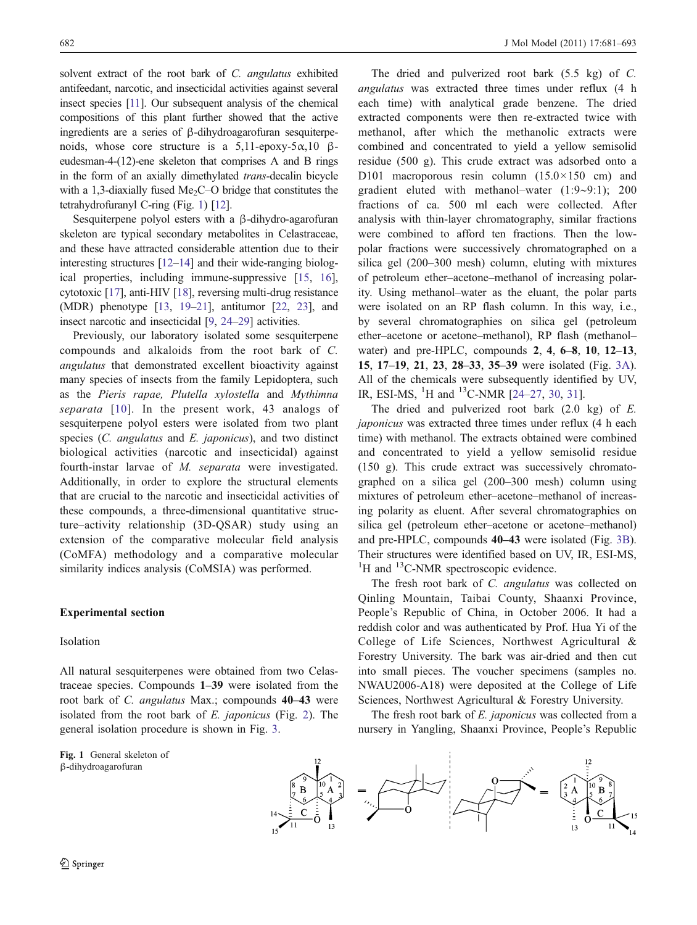solvent extract of the root bark of C. *angulatus* exhibited antifeedant, narcotic, and insecticidal activities against several insect species [[11](#page-11-0)]. Our subsequent analysis of the chemical compositions of this plant further showed that the active ingredients are a series of β-dihydroagarofuran sesquiterpenoids, whose core structure is a 5,11-epoxy-5α,10 βeudesman-4-(12)-ene skeleton that comprises A and B rings in the form of an axially dimethylated trans-decalin bicycle with a 1,3-diaxially fused  $Me<sub>2</sub>CO$  bridge that constitutes the tetrahydrofuranyl C-ring (Fig. 1) [[12](#page-11-0)].

Sesquiterpene polyol esters with a β-dihydro-agarofuran skeleton are typical secondary metabolites in Celastraceae, and these have attracted considerable attention due to their interesting structures [\[12](#page-11-0)–[14\]](#page-11-0) and their wide-ranging biological properties, including immune-suppressive [[15,](#page-11-0) [16](#page-11-0)], cytotoxic [[17](#page-11-0)], anti-HIV [\[18\]](#page-11-0), reversing multi-drug resistance (MDR) phenotype [\[13,](#page-11-0) [19](#page-11-0)–[21\]](#page-11-0), antitumor [[22](#page-11-0), [23\]](#page-11-0), and insect narcotic and insecticidal [\[9](#page-11-0), [24](#page-11-0)–[29](#page-11-0)] activities.

Previously, our laboratory isolated some sesquiterpene compounds and alkaloids from the root bark of C. angulatus that demonstrated excellent bioactivity against many species of insects from the family Lepidoptera, such as the Pieris rapae, Plutella xylostella and Mythimna separata [[10\]](#page-11-0). In the present work, 43 analogs of sesquiterpene polyol esters were isolated from two plant species (C. angulatus and E. japonicus), and two distinct biological activities (narcotic and insecticidal) against fourth-instar larvae of M. separata were investigated. Additionally, in order to explore the structural elements that are crucial to the narcotic and insecticidal activities of these compounds, a three-dimensional quantitative structure–activity relationship (3D-QSAR) study using an extension of the comparative molecular field analysis (CoMFA) methodology and a comparative molecular similarity indices analysis (CoMSIA) was performed.

## Experimental section

### Isolation

All natural sesquiterpenes were obtained from two Celastraceae species. Compounds 1–39 were isolated from the root bark of C. angulatus Max.; compounds 40–43 were isolated from the root bark of E. japonicus (Fig. [2\)](#page-2-0). The general isolation procedure is shown in Fig. [3](#page-3-0).

Fig. 1 General skeleton of β-dihydroagarofuran

The dried and pulverized root bark (5.5 kg) of C. angulatus was extracted three times under reflux (4 h each time) with analytical grade benzene. The dried extracted components were then re-extracted twice with methanol, after which the methanolic extracts were combined and concentrated to yield a yellow semisolid residue (500 g). This crude extract was adsorbed onto a D101 macroporous resin column  $(15.0 \times 150$  cm) and gradient eluted with methanol–water (1:9∼9:1); 200 fractions of ca. 500 ml each were collected. After analysis with thin-layer chromatography, similar fractions were combined to afford ten fractions. Then the lowpolar fractions were successively chromatographed on a silica gel (200–300 mesh) column, eluting with mixtures of petroleum ether–acetone–methanol of increasing polarity. Using methanol–water as the eluant, the polar parts were isolated on an RP flash column. In this way, i.e., by several chromatographies on silica gel (petroleum ether–acetone or acetone–methanol), RP flash (methanol– water) and pre-HPLC, compounds 2, 4, 6–8, 10, 12–13, 15, 17–19, 21, 23, 28–33, 35–39 were isolated (Fig. [3A\)](#page-3-0). All of the chemicals were subsequently identified by UV, IR, ESI-MS, <sup>1</sup>H and <sup>13</sup>C-NMR [\[24](#page-11-0)-[27](#page-11-0), [30,](#page-11-0) [31\]](#page-11-0).

The dried and pulverized root bark  $(2.0 \text{ kg})$  of E. japonicus was extracted three times under reflux (4 h each time) with methanol. The extracts obtained were combined and concentrated to yield a yellow semisolid residue (150 g). This crude extract was successively chromatographed on a silica gel (200–300 mesh) column using mixtures of petroleum ether–acetone–methanol of increasing polarity as eluent. After several chromatographies on silica gel (petroleum ether–acetone or acetone–methanol) and pre-HPLC, compounds 40–43 were isolated (Fig. [3B\)](#page-3-0). Their structures were identified based on UV, IR, ESI-MS, <sup>1</sup>H and <sup>13</sup>C-NMR spectroscopic evidence.

The fresh root bark of C. angulatus was collected on Qinling Mountain, Taibai County, Shaanxi Province, People's Republic of China, in October 2006. It had a reddish color and was authenticated by Prof. Hua Yi of the College of Life Sciences, Northwest Agricultural & Forestry University. The bark was air-dried and then cut into small pieces. The voucher specimens (samples no. NWAU2006-A18) were deposited at the College of Life Sciences, Northwest Agricultural & Forestry University.

The fresh root bark of E. japonicus was collected from a nursery in Yangling, Shaanxi Province, People's Republic

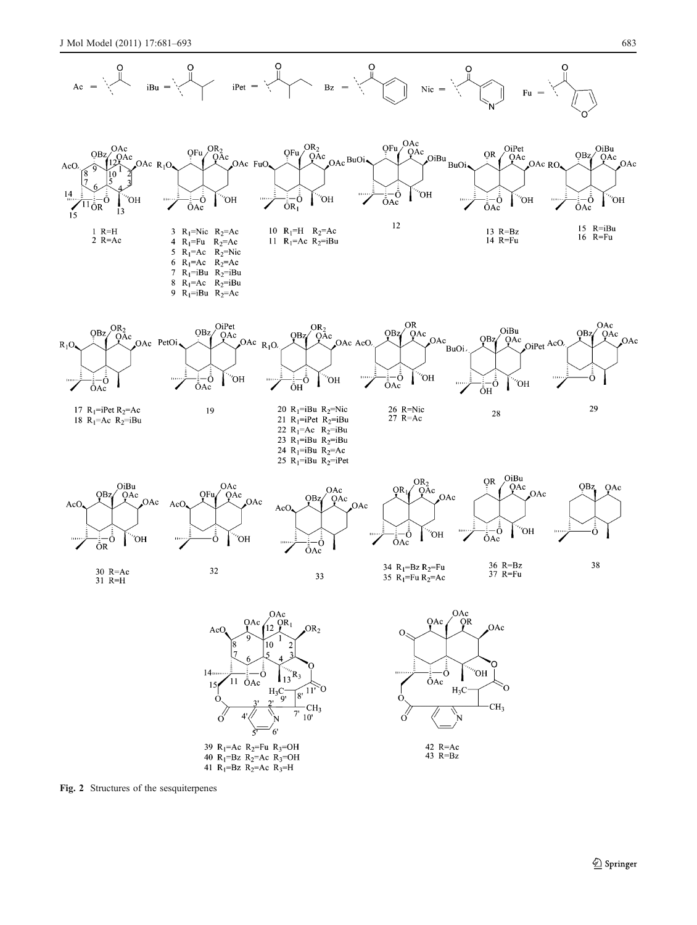<span id="page-2-0"></span>

Fig. 2 Structures of the sesquiterpenes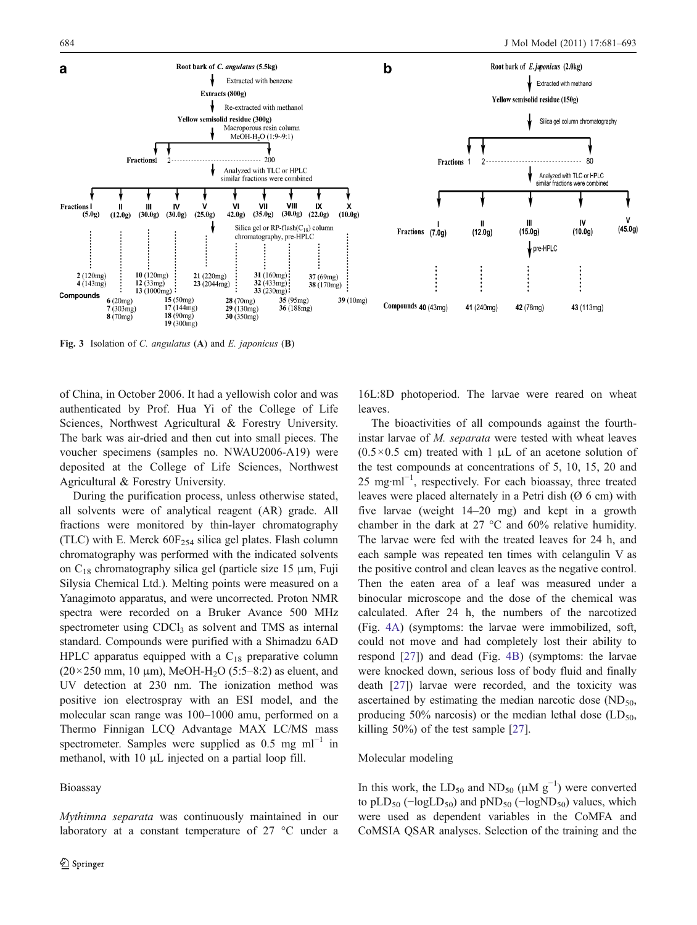<span id="page-3-0"></span>

Fig. 3 Isolation of C. angulatus (A) and E. japonicus (B)

of China, in October 2006. It had a yellowish color and was authenticated by Prof. Hua Yi of the College of Life Sciences, Northwest Agricultural & Forestry University. The bark was air-dried and then cut into small pieces. The voucher specimens (samples no. NWAU2006-A19) were deposited at the College of Life Sciences, Northwest Agricultural & Forestry University.

During the purification process, unless otherwise stated, all solvents were of analytical reagent (AR) grade. All fractions were monitored by thin-layer chromatography (TLC) with E. Merck  $60F_{254}$  silica gel plates. Flash column chromatography was performed with the indicated solvents on  $C_{18}$  chromatography silica gel (particle size 15  $\mu$ m, Fuji Silysia Chemical Ltd.). Melting points were measured on a Yanagimoto apparatus, and were uncorrected. Proton NMR spectra were recorded on a Bruker Avance 500 MHz spectrometer using CDCl<sub>3</sub> as solvent and TMS as internal standard. Compounds were purified with a Shimadzu 6AD HPLC apparatus equipped with a  $C_{18}$  preparative column  $(20 \times 250 \text{ mm}, 10 \text{ \mu m})$ , MeOH-H<sub>2</sub>O (5:5–8:2) as eluent, and UV detection at 230 nm. The ionization method was positive ion electrospray with an ESI model, and the molecular scan range was 100–1000 amu, performed on a Thermo Finnigan LCQ Advantage MAX LC/MS mass spectrometer. Samples were supplied as  $0.5 \text{ mg } \text{ml}^{-1}$  in methanol, with 10 μL injected on a partial loop fill.

Bioassay

Mythimna separata was continuously maintained in our laboratory at a constant temperature of 27 °C under a

16L:8D photoperiod. The larvae were reared on wheat leaves.

The bioactivities of all compounds against the fourthinstar larvae of M. separata were tested with wheat leaves  $(0.5 \times 0.5$  cm) treated with 1  $\mu$ L of an acetone solution of the test compounds at concentrations of 5, 10, 15, 20 and 25 mg·ml<sup>-1</sup>, respectively. For each bioassay, three treated leaves were placed alternately in a Petri dish (Ø 6 cm) with five larvae (weight 14–20 mg) and kept in a growth chamber in the dark at 27 °C and 60% relative humidity. The larvae were fed with the treated leaves for 24 h, and each sample was repeated ten times with celangulin V as the positive control and clean leaves as the negative control. Then the eaten area of a leaf was measured under a binocular microscope and the dose of the chemical was calculated. After 24 h, the numbers of the narcotized (Fig. [4A\)](#page-4-0) (symptoms: the larvae were immobilized, soft, could not move and had completely lost their ability to respond [\[27](#page-11-0)]) and dead (Fig. [4B](#page-4-0)) (symptoms: the larvae were knocked down, serious loss of body fluid and finally death [\[27](#page-11-0)]) larvae were recorded, and the toxicity was ascertained by estimating the median narcotic dose  $(ND<sub>50</sub>)$ producing 50% narcosis) or the median lethal dose  $(LD_{50},$ killing 50%) of the test sample [\[27](#page-11-0)].

# Molecular modeling

In this work, the LD<sub>50</sub> and ND<sub>50</sub> ( $\mu$ M g<sup>-1</sup>) were converted to pLD<sub>50</sub> ( $-\log$ LD<sub>50</sub>) and pND<sub>50</sub> ( $-\log$ ND<sub>50</sub>) values, which were used as dependent variables in the CoMFA and CoMSIA QSAR analyses. Selection of the training and the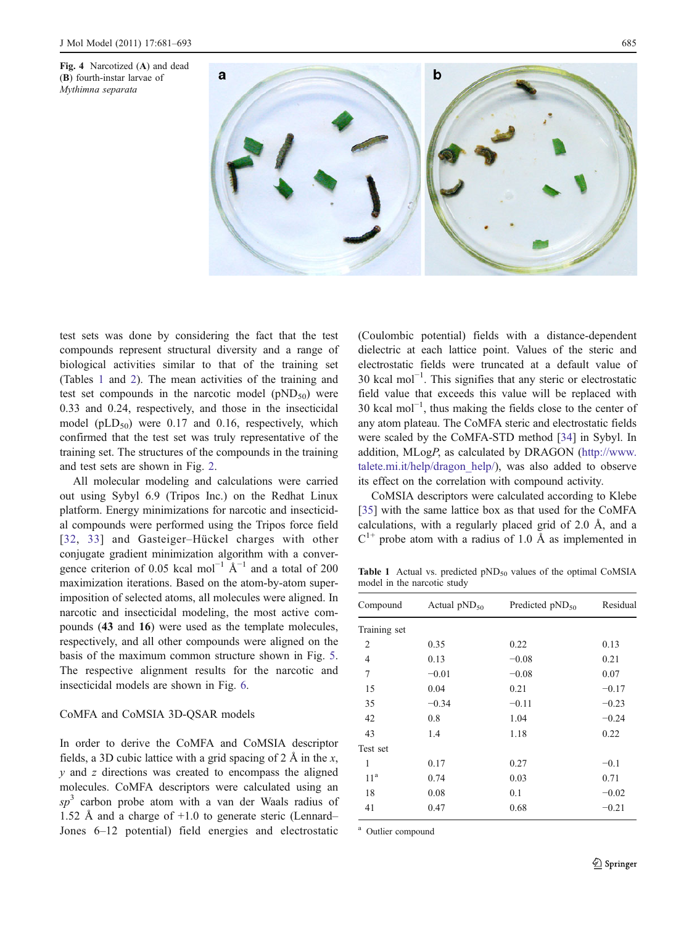<span id="page-4-0"></span>



test sets was done by considering the fact that the test compounds represent structural diversity and a range of biological activities similar to that of the training set (Tables 1 and [2\)](#page-5-0). The mean activities of the training and test set compounds in the narcotic model  $(pND_{50})$  were 0.33 and 0.24, respectively, and those in the insecticidal model ( $pLD_{50}$ ) were 0.17 and 0.16, respectively, which confirmed that the test set was truly representative of the training set. The structures of the compounds in the training and test sets are shown in Fig. [2](#page-2-0).

All molecular modeling and calculations were carried out using Sybyl 6.9 (Tripos Inc.) on the Redhat Linux platform. Energy minimizations for narcotic and insecticidal compounds were performed using the Tripos force field [[32](#page-11-0), [33\]](#page-11-0) and Gasteiger–Hückel charges with other conjugate gradient minimization algorithm with a convergence criterion of 0.05 kcal mol<sup>-1</sup>  $\text{\AA}^{-1}$  and a total of 200 maximization iterations. Based on the atom-by-atom superimposition of selected atoms, all molecules were aligned. In narcotic and insecticidal modeling, the most active compounds (43 and 16) were used as the template molecules, respectively, and all other compounds were aligned on the basis of the maximum common structure shown in Fig. [5.](#page-5-0) The respective alignment results for the narcotic and insecticidal models are shown in Fig. [6.](#page-6-0)

## CoMFA and CoMSIA 3D-QSAR models

In order to derive the CoMFA and CoMSIA descriptor fields, a 3D cubic lattice with a grid spacing of 2 Å in the x,  $y$  and  $z$  directions was created to encompass the aligned molecules. CoMFA descriptors were calculated using an  $sp<sup>3</sup>$  carbon probe atom with a van der Waals radius of 1.52 Å and a charge of +1.0 to generate steric (Lennard– Jones 6–12 potential) field energies and electrostatic

(Coulombic potential) fields with a distance-dependent dielectric at each lattice point. Values of the steric and electrostatic fields were truncated at a default value of 30 kcal mol−<sup>1</sup> . This signifies that any steric or electrostatic field value that exceeds this value will be replaced with 30 kcal mol−<sup>1</sup> , thus making the fields close to the center of any atom plateau. The CoMFA steric and electrostatic fields were scaled by the CoMFA-STD method [\[34](#page-11-0)] in Sybyl. In addition, MLogP, as calculated by DRAGON [\(http://www.](http://www.talete.mi.it/help/dragon_help/) [talete.mi.it/help/dragon\\_help/\)](http://www.talete.mi.it/help/dragon_help/), was also added to observe its effect on the correlation with compound activity.

CoMSIA descriptors were calculated according to Klebe [\[35](#page-11-0)] with the same lattice box as that used for the CoMFA calculations, with a regularly placed grid of 2.0 Å, and a  $C^{1+}$  probe atom with a radius of 1.0 Å as implemented in

Table 1 Actual vs. predicted  $pND<sub>50</sub>$  values of the optimal CoMSIA model in the narcotic study

| Compound        | Actual $pND_{50}$ | Predicted $pND_{50}$ | Residual |  |
|-----------------|-------------------|----------------------|----------|--|
| Training set    |                   |                      |          |  |
| $\overline{2}$  | 0.35              | 0.22                 | 0.13     |  |
| 4               | 0.13              | $-0.08$              | 0.21     |  |
| 7               | $-0.01$           | $-0.08$              | 0.07     |  |
| 15              | 0.04              | 0.21                 | $-0.17$  |  |
| 35              | $-0.34$           | $-0.11$              | $-0.23$  |  |
| 42              | 0.8               | 1.04                 | $-0.24$  |  |
| 43              | 1.4               | 1.18                 | 0.22     |  |
| Test set        |                   |                      |          |  |
| 1               | 0.17              | 0.27                 | $-0.1$   |  |
| 11 <sup>a</sup> | 0.74              | 0.03                 | 0.71     |  |
| 18              | 0.08              | 0.1                  | $-0.02$  |  |
| 41              | 0.47              | 0.68                 | $-0.21$  |  |

<sup>a</sup> Outlier compound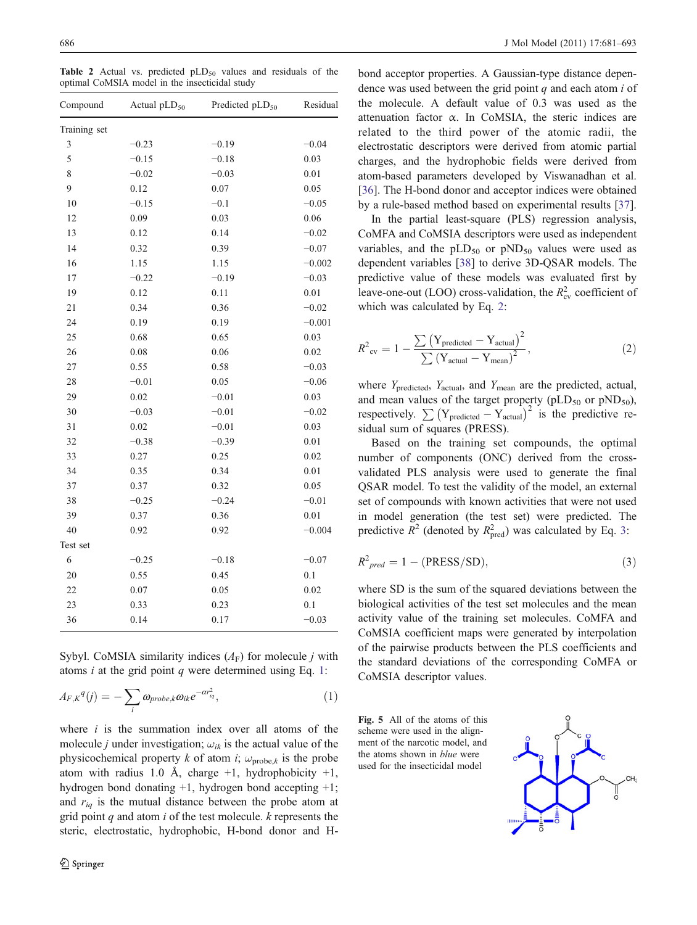<span id="page-5-0"></span>Table 2 Actual vs. predicted  $pLD_{50}$  values and residuals of the optimal CoMSIA model in the insecticidal study

| Compound       | Actual pLD <sub>50</sub> | Predicted pLD <sub>50</sub> | Residual |  |
|----------------|--------------------------|-----------------------------|----------|--|
| Training set   |                          |                             |          |  |
| $\mathfrak{Z}$ | $-0.23$                  | $-0.19$                     | $-0.04$  |  |
| 5              | $-0.15$                  | $-0.18$                     | 0.03     |  |
| 8              | $-0.02$                  | $-0.03$                     | 0.01     |  |
| 9              | 0.12                     | 0.07                        | 0.05     |  |
| 10             | $-0.15$                  | $-0.1$                      | $-0.05$  |  |
| 12             | 0.09                     | 0.03                        | 0.06     |  |
| 13             | 0.12                     | 0.14                        | $-0.02$  |  |
| 14             | 0.32                     | 0.39                        | $-0.07$  |  |
| 16             | 1.15                     | 1.15                        | $-0.002$ |  |
| 17             | $-0.22$                  | $-0.19$                     | $-0.03$  |  |
| 19             | 0.12                     | 0.11                        | 0.01     |  |
| 21             | 0.34                     | 0.36                        | $-0.02$  |  |
| 24             | 0.19                     | 0.19                        | $-0.001$ |  |
| 25             | 0.68                     | 0.65                        | 0.03     |  |
| 26             | 0.08                     | 0.06                        | 0.02     |  |
| $27\,$         | 0.55                     | 0.58                        | $-0.03$  |  |
| 28             | $-0.01$                  | 0.05                        | $-0.06$  |  |
| 29             | 0.02                     | $-0.01$                     | 0.03     |  |
| 30             | $-0.03$                  | $-0.01$                     | $-0.02$  |  |
| 31             | 0.02                     | $-0.01$                     | 0.03     |  |
| 32             | $-0.38$                  | $-0.39$                     | 0.01     |  |
| 33             | 0.27                     | 0.25                        | 0.02     |  |
| 34             | 0.35                     | 0.34                        | 0.01     |  |
| 37             | 0.37                     | 0.32                        | 0.05     |  |
| 38             | $-0.25$                  | $-0.24$                     | $-0.01$  |  |
| 39             | 0.37                     | 0.36                        | 0.01     |  |
| 40             | 0.92                     | 0.92                        | $-0.004$ |  |
| Test set       |                          |                             |          |  |
| 6              | $-0.25$                  | $-0.18$                     | $-0.07$  |  |
| 20             | 0.55                     | 0.45                        | 0.1      |  |
| 22             | 0.07                     | 0.05                        | 0.02     |  |
| 23             | 0.33                     | 0.23                        | 0.1      |  |
| 36             | 0.14                     | 0.17                        | $-0.03$  |  |
|                |                          |                             |          |  |

Sybyl. CoMSIA similarity indices  $(A_F)$  for molecule j with atoms  $i$  at the grid point  $q$  were determined using Eq. 1:

$$
A_{F,K}{}^q(j) = -\sum_i \omega_{probe,k} \omega_{ik} e^{-\alpha r_{iq}^2},\tag{1}
$$

where  $i$  is the summation index over all atoms of the molecule *j* under investigation;  $\omega_{ik}$  is the actual value of the physicochemical property k of atom i;  $\omega_{\text{probe},k}$  is the probe atom with radius 1.0 Å, charge  $+1$ , hydrophobicity  $+1$ , hydrogen bond donating +1, hydrogen bond accepting +1; and  $r_{iq}$  is the mutual distance between the probe atom at grid point  $q$  and atom  $i$  of the test molecule.  $k$  represents the steric, electrostatic, hydrophobic, H-bond donor and H-

bond acceptor properties. A Gaussian-type distance dependence was used between the grid point  $q$  and each atom  $i$  of the molecule. A default value of 0.3 was used as the attenuation factor  $\alpha$ . In CoMSIA, the steric indices are related to the third power of the atomic radii, the electrostatic descriptors were derived from atomic partial charges, and the hydrophobic fields were derived from atom-based parameters developed by Viswanadhan et al. [\[36](#page-12-0)]. The H-bond donor and acceptor indices were obtained by a rule-based method based on experimental results [[37\]](#page-12-0).

In the partial least-square (PLS) regression analysis, CoMFA and CoMSIA descriptors were used as independent variables, and the  $pLD_{50}$  or  $pND_{50}$  values were used as dependent variables [[38\]](#page-12-0) to derive 3D-QSAR models. The predictive value of these models was evaluated first by leave-one-out (LOO) cross-validation, the  $R_{\rm cv}^2$  coefficient of which was calculated by Eq. 2:

$$
R^{2}_{\text{cv}} = 1 - \frac{\sum (Y_{\text{predicted}} - Y_{\text{actual}})^{2}}{\sum (Y_{\text{actual}} - Y_{\text{mean}})^{2}},
$$
 (2)

where  $Y_{\text{predicted}}$ ,  $Y_{\text{actual}}$ , and  $Y_{\text{mean}}$  are the predicted, actual, and mean values of the target property ( $pLD_{50}$  or  $pND_{50}$ ), respectively.  $\sum (Y_{predicted} - Y_{actual})^2$  is the predictive residual sum of squares (PRESS).

Based on the training set compounds, the optimal number of components (ONC) derived from the crossvalidated PLS analysis were used to generate the final QSAR model. To test the validity of the model, an external set of compounds with known activities that were not used in model generation (the test set) were predicted. The predictive  $R^2$  (denoted by  $R_{\text{pred}}^2$ ) was calculated by Eq. 3:

$$
R^2_{pred} = 1 - (PRESS/SD), \tag{3}
$$

where SD is the sum of the squared deviations between the biological activities of the test set molecules and the mean activity value of the training set molecules. CoMFA and CoMSIA coefficient maps were generated by interpolation of the pairwise products between the PLS coefficients and the standard deviations of the corresponding CoMFA or CoMSIA descriptor values.

Fig. 5 All of the atoms of this scheme were used in the alignment of the narcotic model, and the atoms shown in blue were used for the insecticidal model

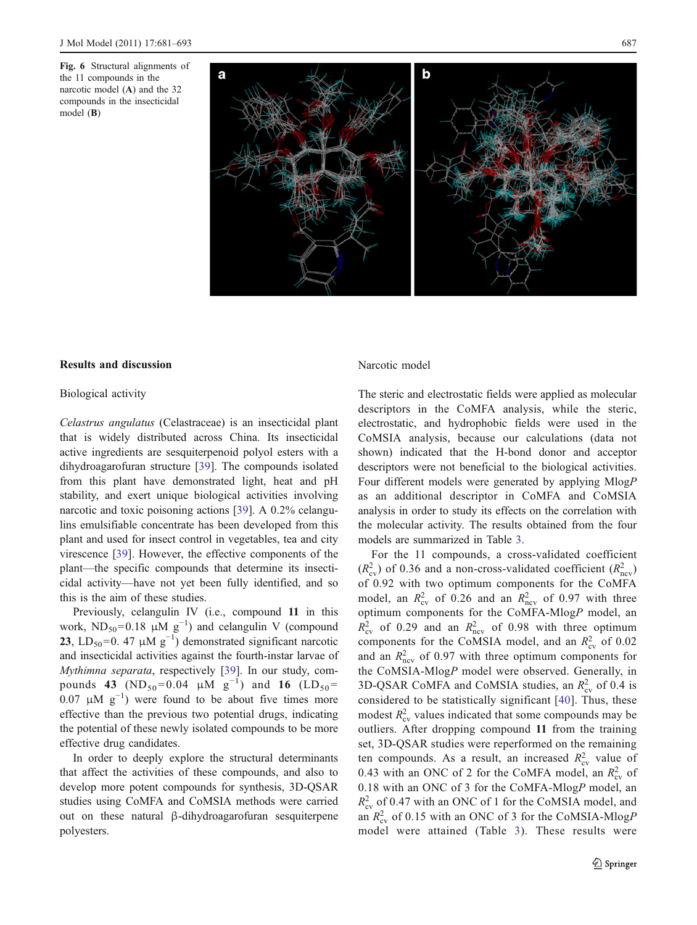<span id="page-6-0"></span>



## Results and discussion

# Biological activity

Celastrus angulatus (Celastraceae) is an insecticidal plant that is widely distributed across China. Its insecticidal active ingredients are sesquiterpenoid polyol esters with a dihydroagarofuran structure [[39\]](#page-12-0). The compounds isolated from this plant have demonstrated light, heat and pH stability, and exert unique biological activities involving narcotic and toxic poisoning actions [\[39](#page-12-0)]. A 0.2% celangulins emulsifiable concentrate has been developed from this plant and used for insect control in vegetables, tea and city virescence [\[39](#page-12-0)]. However, the effective components of the plant—the specific compounds that determine its insecticidal activity—have not yet been fully identified, and so this is the aim of these studies.

Previously, celangulin IV (i.e., compound 11 in this work,  $ND_{50} = 0.18 \mu M g^{-1}$  and celangulin V (compound **23**, LD<sub>50</sub>=0. 47  $\mu$ M g<sup>-1</sup>) demonstrated significant narcotic and insecticidal activities against the fourth-instar larvae of Mythimna separata, respectively [[39\]](#page-12-0). In our study, compounds 43 (ND<sub>50</sub>=0.04  $\mu$ M g<sup>-1</sup>) and 16 (LD<sub>50</sub>= 0.07  $\mu$ M g<sup>-1</sup>) were found to be about five times more effective than the previous two potential drugs, indicating the potential of these newly isolated compounds to be more effective drug candidates.

In order to deeply explore the structural determinants that affect the activities of these compounds, and also to develop more potent compounds for synthesis, 3D-QSAR studies using CoMFA and CoMSIA methods were carried out on these natural β-dihydroagarofuran sesquiterpene polyesters.

## Narcotic model

The steric and electrostatic fields were applied as molecular descriptors in the CoMFA analysis, while the steric, electrostatic, and hydrophobic fields were used in the CoMSIA analysis, because our calculations (data not shown) indicated that the H-bond donor and acceptor descriptors were not beneficial to the biological activities. Four different models were generated by applying MlogP as an additional descriptor in CoMFA and CoMSIA analysis in order to study its effects on the correlation with the molecular activity. The results obtained from the four models are summarized in Table [3.](#page-7-0)

For the 11 compounds, a cross-validated coefficient  $(R_{\text{cv}}^2)$  of 0.36 and a non-cross-validated coefficient  $(R_{\text{ncv}}^2)$ of 0.92 with two optimum components for the CoMFA model, an  $R_{\text{cv}}^2$  of 0.26 and an  $R_{\text{ncv}}^2$  of 0.97 with three optimum components for the CoMFA-MlogP model, an  $R_{\text{cv}}^2$  of 0.29 and an  $R_{\text{ncv}}^2$  of 0.98 with three optimum components for the CoMSIA model, and an  $R_{\text{cv}}^2$  of 0.02 and an  $R_{\text{ncv}}^2$  of 0.97 with three optimum components for the CoMSIA-MlogP model were observed. Generally, in 3D-QSAR CoMFA and CoMSIA studies, an  $R_{\rm cv}^2$  of 0.4 is considered to be statistically significant [[40\]](#page-12-0). Thus, these modest  $R_{\text{cv}}^2$  values indicated that some compounds may be outliers. After dropping compound 11 from the training set, 3D-QSAR studies were reperformed on the remaining ten compounds. As a result, an increased  $R_{\rm cv}^2$  value of 0.43 with an ONC of 2 for the CoMFA model, an  $R_{\rm cv}^2$  of 0.18 with an ONC of 3 for the CoMFA-MlogP model, an  $R_{\text{cv}}^2$  of 0.47 with an ONC of 1 for the CoMSIA model, and an  $R_{\text{cv}}^2$  of 0.15 with an ONC of 3 for the CoMSIA-MlogP model were attained (Table [3](#page-7-0)). These results were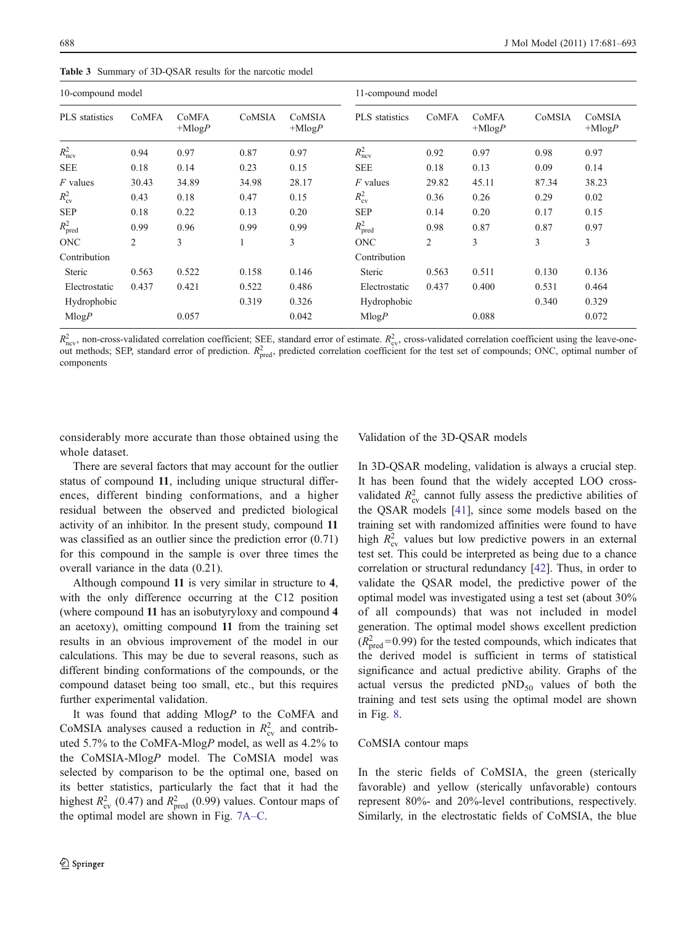| 10-compound model     |       |                   | 11-compound model |                    |                     |                |                   |        |                    |
|-----------------------|-------|-------------------|-------------------|--------------------|---------------------|----------------|-------------------|--------|--------------------|
| <b>PLS</b> statistics | CoMFA | CoMFA<br>$+MlogP$ | CoMSIA            | CoMSIA<br>$+MlogP$ | PLS statistics      | CoMFA          | CoMFA<br>$+MlogP$ | CoMSIA | CoMSIA<br>$+MlogP$ |
| $R_{\text{ncv}}^2$    | 0.94  | 0.97              | 0.87              | 0.97               | $R_{\rm ncv}^2$     | 0.92           | 0.97              | 0.98   | 0.97               |
| <b>SEE</b>            | 0.18  | 0.14              | 0.23              | 0.15               | <b>SEE</b>          | 0.18           | 0.13              | 0.09   | 0.14               |
| $F$ values            | 30.43 | 34.89             | 34.98             | 28.17              | $F$ values          | 29.82          | 45.11             | 87.34  | 38.23              |
| $R_{\rm cv}^2$        | 0.43  | 0.18              | 0.47              | 0.15               | $R_{\rm cv}^2$      | 0.36           | 0.26              | 0.29   | 0.02               |
| <b>SEP</b>            | 0.18  | 0.22              | 0.13              | 0.20               | SEP                 | 0.14           | 0.20              | 0.17   | 0.15               |
| $R_{\text{pred}}^2$   | 0.99  | 0.96              | 0.99              | 0.99               | $R_{\text{pred}}^2$ | 0.98           | 0.87              | 0.87   | 0.97               |
| <b>ONC</b>            | 2     | 3                 |                   | 3                  | <b>ONC</b>          | $\overline{c}$ | 3                 | 3      | 3                  |
| Contribution          |       |                   |                   |                    | Contribution        |                |                   |        |                    |
| Steric                | 0.563 | 0.522             | 0.158             | 0.146              | <b>Steric</b>       | 0.563          | 0.511             | 0.130  | 0.136              |
| Electrostatic         | 0.437 | 0.421             | 0.522             | 0.486              | Electrostatic       | 0.437          | 0.400             | 0.531  | 0.464              |
| Hydrophobic           |       |                   | 0.319             | 0.326              | Hydrophobic         |                |                   | 0.340  | 0.329              |
| MlogP                 |       | 0.057             |                   | 0.042              | MlogP               |                | 0.088             |        | 0.072              |

<span id="page-7-0"></span>Table 3 Summary of 3D-QSAR results for the narcotic model

 $R_{\text{ncv}}^2$ , non-cross-validated correlation coefficient; SEE, standard error of estimate.  $R_{\text{cv}}^2$ , cross-validated correlation coefficient using the leave-oneout methods; SEP, standard error of prediction.  $R_{\text{pred}}^2$ , predicted correlation coefficient for the test set of compounds; ONC, optimal number of components

considerably more accurate than those obtained using the whole dataset.

Validation of the 3D-QSAR models

There are several factors that may account for the outlier status of compound 11, including unique structural differences, different binding conformations, and a higher residual between the observed and predicted biological activity of an inhibitor. In the present study, compound 11 was classified as an outlier since the prediction error  $(0.71)$ for this compound in the sample is over three times the overall variance in the data (0.21).

Although compound 11 is very similar in structure to 4, with the only difference occurring at the C12 position (where compound 11 has an isobutyryloxy and compound 4 an acetoxy), omitting compound 11 from the training set results in an obvious improvement of the model in our calculations. This may be due to several reasons, such as different binding conformations of the compounds, or the compound dataset being too small, etc., but this requires further experimental validation.

It was found that adding MlogP to the CoMFA and CoMSIA analyses caused a reduction in  $R_{\text{cv}}^2$  and contributed 5.7% to the CoMFA-MlogP model, as well as 4.2% to the CoMSIA-MlogP model. The CoMSIA model was selected by comparison to be the optimal one, based on its better statistics, particularly the fact that it had the highest  $R_{\text{cv}}^2$  (0.47) and  $R_{\text{pred}}^2$  (0.99) values. Contour maps of the optimal model are shown in Fig. [7A](#page-8-0)–C.

In 3D-QSAR modeling, validation is always a crucial step. It has been found that the widely accepted LOO crossvalidated  $R_{\text{cv}}^2$  cannot fully assess the predictive abilities of the QSAR models [\[41](#page-12-0)], since some models based on the training set with randomized affinities were found to have high  $R_{\rm cv}^2$  values but low predictive powers in an external test set. This could be interpreted as being due to a chance correlation or structural redundancy [[42\]](#page-12-0). Thus, in order to validate the QSAR model, the predictive power of the optimal model was investigated using a test set (about 30% of all compounds) that was not included in model generation. The optimal model shows excellent prediction  $(R<sub>pred</sub><sup>2</sup>=0.99)$  for the tested compounds, which indicates that the derived model is sufficient in terms of statistical significance and actual predictive ability. Graphs of the actual versus the predicted  $pND_{50}$  values of both the training and test sets using the optimal model are shown in Fig. [8](#page-8-0).

## CoMSIA contour maps

In the steric fields of CoMSIA, the green (sterically favorable) and yellow (sterically unfavorable) contours represent 80%- and 20%-level contributions, respectively. Similarly, in the electrostatic fields of CoMSIA, the blue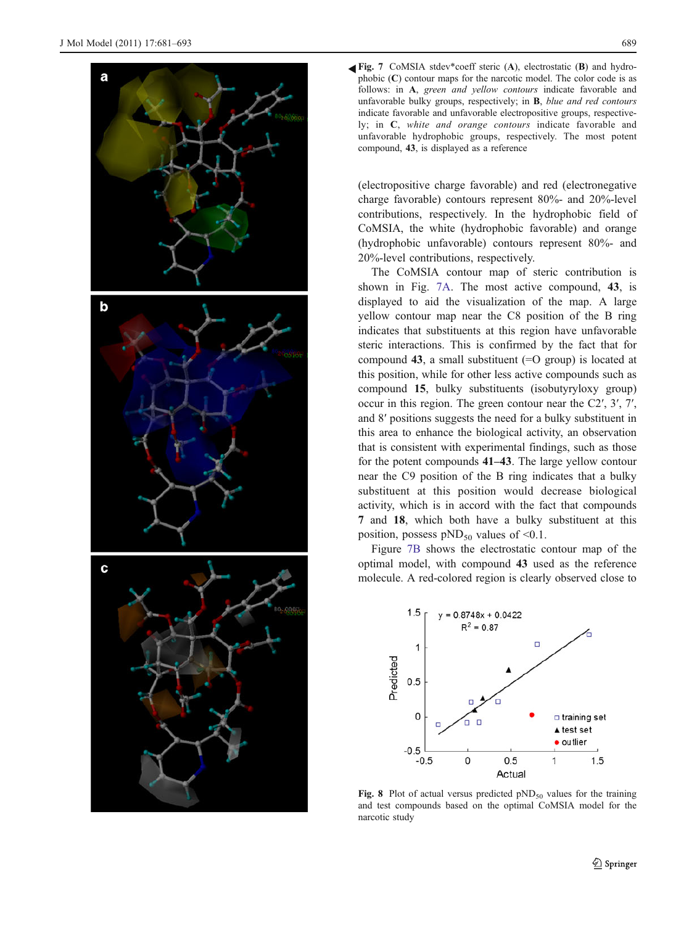<span id="page-8-0"></span>

Fig. 7 CoMSIA stdev\*coeff steric (A), electrostatic (B) and hydrophobic  $(C)$  contour maps for the narcotic model. The color code is as follows: in A, green and yellow contours indicate favorable and unfavorable bulky groups, respectively; in B, blue and red contours indicate favorable and unfavorable electropositive groups, respectively; in C, white and orange contours indicate favorable and unfavorable hydrophobic groups, respectively. The most potent compound, 43, is displayed as a reference

(electropositive charge favorable) and red (electronegative charge favorable) contours represent 80%- and 20%-level contributions, respectively. In the hydrophobic field of CoMSIA, the white (hydrophobic favorable) and orange (hydrophobic unfavorable) contours represent 80%- and 20%-level contributions, respectively.

The CoMSIA contour map of steric contribution is shown in Fig. 7A. The most active compound, 43, is displayed to aid the visualization of the map. A large yellow contour map near the C8 position of the B ring indicates that substituents at this region have unfavorable steric interactions. This is confirmed by the fact that for compound 43, a small substituent  $(=O$  group) is located at this position, while for other less active compounds such as compound 15, bulky substituents (isobutyryloxy group) occur in this region. The green contour near the C2′, 3′, 7′, and 8′ positions suggests the need for a bulky substituent in this area to enhance the biological activity, an observation that is consistent with experimental findings, such as those for the potent compounds 41–43. The large yellow contour near the C9 position of the B ring indicates that a bulky substituent at this position would decrease biological activity, which is in accord with the fact that compounds 7 and 18, which both have a bulky substituent at this position, possess  $pND_{50}$  values of <0.1.

Figure 7B shows the electrostatic contour map of the optimal model, with compound 43 used as the reference molecule. A red-colored region is clearly observed close to



Fig. 8 Plot of actual versus predicted  $pND_{50}$  values for the training and test compounds based on the optimal CoMSIA model for the narcotic study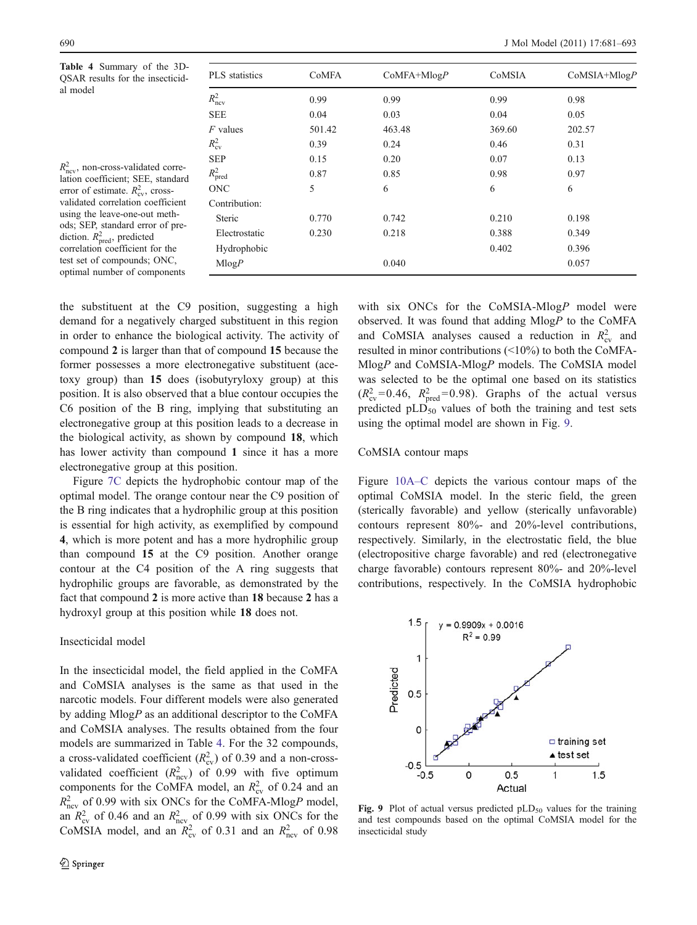Table 4 Summary of the 3D-QSAR results for the insecticidal model

 $R_{\text{ncv}}^2$ , non-cross-validated correlation coefficient; SEE, standard error of estimate.  $R_{\text{cv}}^2$ , crossvalidated correlation coefficient using the leave-one-out methods; SEP, standard error of prediction.  $R_{\text{pred}}^2$ , predicted correlation coefficient for the test set of compounds; ONC, optimal number of components

| <b>PLS</b> statistics | <b>CoMFA</b> | $CoMFA+MlogP$ | CoMSIA | $CoMSIA+MlogP$ |
|-----------------------|--------------|---------------|--------|----------------|
| $R_{\text{ncv}}^2$    | 0.99         | 0.99          | 0.99   | 0.98           |
| <b>SEE</b>            | 0.04         | 0.03          | 0.04   | 0.05           |
| $F$ values            | 501.42       | 463.48        | 369.60 | 202.57         |
| $R_{\rm cv}^2$        | 0.39         | 0.24          | 0.46   | 0.31           |
| <b>SEP</b>            | 0.15         | 0.20          | 0.07   | 0.13           |
| $R_{\text{pred}}^2$   | 0.87         | 0.85          | 0.98   | 0.97           |
| <b>ONC</b>            | 5            | 6             | 6      | 6              |
| Contribution:         |              |               |        |                |
| Steric                | 0.770        | 0.742         | 0.210  | 0.198          |
| Electrostatic         | 0.230        | 0.218         | 0.388  | 0.349          |
| Hydrophobic           |              |               | 0.402  | 0.396          |
| MlogP                 |              | 0.040         |        | 0.057          |

the substituent at the C9 position, suggesting a high demand for a negatively charged substituent in this region in order to enhance the biological activity. The activity of compound 2 is larger than that of compound 15 because the former possesses a more electronegative substituent (acetoxy group) than 15 does (isobutyryloxy group) at this position. It is also observed that a blue contour occupies the C6 position of the B ring, implying that substituting an electronegative group at this position leads to a decrease in the biological activity, as shown by compound 18, which has lower activity than compound 1 since it has a more electronegative group at this position.

Figure [7C](#page-8-0) depicts the hydrophobic contour map of the optimal model. The orange contour near the C9 position of the B ring indicates that a hydrophilic group at this position is essential for high activity, as exemplified by compound 4, which is more potent and has a more hydrophilic group than compound 15 at the C9 position. Another orange contour at the C4 position of the A ring suggests that hydrophilic groups are favorable, as demonstrated by the fact that compound 2 is more active than 18 because 2 has a hydroxyl group at this position while 18 does not.

## Insecticidal model

In the insecticidal model, the field applied in the CoMFA and CoMSIA analyses is the same as that used in the narcotic models. Four different models were also generated by adding MlogP as an additional descriptor to the CoMFA and CoMSIA analyses. The results obtained from the four models are summarized in Table 4. For the 32 compounds, a cross-validated coefficient  $(R_{\text{cv}}^2)$  of 0.39 and a non-crossvalidated coefficient  $(R_{\text{ncv}}^2)$  of 0.99 with five optimum components for the CoMFA model, an  $R_{\text{cv}}^2$  of 0.24 and an  $R_{\text{ncv}}^2$  of 0.99 with six ONCs for the CoMFA-MlogP model, an  $R_{\text{cv}}^2$  of 0.46 and an  $R_{\text{ncv}}^2$  of 0.99 with six ONCs for the CoMSIA model, and an  $R_{\text{cv}}^2$  of 0.31 and an  $R_{\text{ncv}}^2$  of 0.98

with six ONCs for the CoMSIA-MlogP model were observed. It was found that adding MlogP to the CoMFA and CoMSIA analyses caused a reduction in  $R_{\text{cv}}^2$  and resulted in minor contributions (<10%) to both the CoMFA-MlogP and CoMSIA-MlogP models. The CoMSIA model was selected to be the optimal one based on its statistics  $(R_{\text{cv}}^2=0.46, R_{\text{pred}}^2=0.98)$ . Graphs of the actual versus predicted  $pLD_{50}$  values of both the training and test sets using the optimal model are shown in Fig. 9.

#### CoMSIA contour maps

Figure [10A](#page-10-0)–C depicts the various contour maps of the optimal CoMSIA model. In the steric field, the green (sterically favorable) and yellow (sterically unfavorable) contours represent 80%- and 20%-level contributions, respectively. Similarly, in the electrostatic field, the blue (electropositive charge favorable) and red (electronegative charge favorable) contours represent 80%- and 20%-level contributions, respectively. In the CoMSIA hydrophobic



Fig. 9 Plot of actual versus predicted  $pLD_{50}$  values for the training and test compounds based on the optimal CoMSIA model for the insecticidal study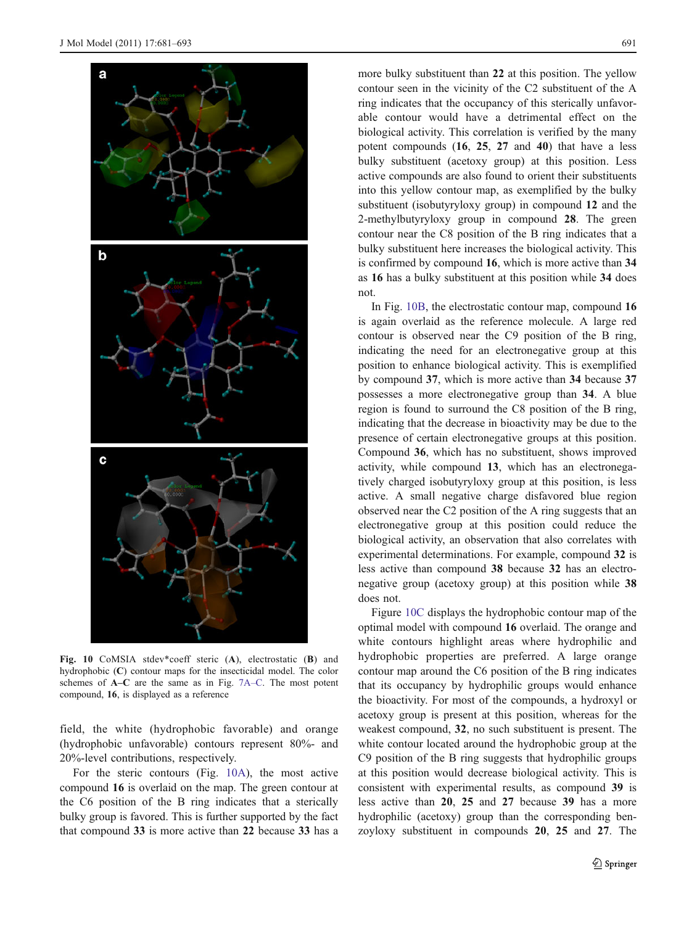<span id="page-10-0"></span>

Fig. 10 CoMSIA stdev\*coeff steric (A), electrostatic (B) and hydrophobic (C) contour maps for the insecticidal model. The color schemes of A–C are the same as in Fig. [7A](#page-8-0)–C. The most potent compound, 16, is displayed as a reference

field, the white (hydrophobic favorable) and orange (hydrophobic unfavorable) contours represent 80%- and 20%-level contributions, respectively.

For the steric contours (Fig. 10A), the most active compound 16 is overlaid on the map. The green contour at the C6 position of the B ring indicates that a sterically bulky group is favored. This is further supported by the fact that compound 33 is more active than 22 because 33 has a

more bulky substituent than 22 at this position. The yellow contour seen in the vicinity of the C2 substituent of the A ring indicates that the occupancy of this sterically unfavorable contour would have a detrimental effect on the biological activity. This correlation is verified by the many potent compounds (16, 25, 27 and 40) that have a less bulky substituent (acetoxy group) at this position. Less active compounds are also found to orient their substituents into this yellow contour map, as exemplified by the bulky substituent (isobutyryloxy group) in compound 12 and the 2-methylbutyryloxy group in compound 28. The green contour near the C8 position of the B ring indicates that a bulky substituent here increases the biological activity. This is confirmed by compound 16, which is more active than 34 as 16 has a bulky substituent at this position while 34 does not.

In Fig. 10B, the electrostatic contour map, compound 16 is again overlaid as the reference molecule. A large red contour is observed near the C9 position of the B ring, indicating the need for an electronegative group at this position to enhance biological activity. This is exemplified by compound 37, which is more active than 34 because 37 possesses a more electronegative group than 34. A blue region is found to surround the C8 position of the B ring, indicating that the decrease in bioactivity may be due to the presence of certain electronegative groups at this position. Compound 36, which has no substituent, shows improved activity, while compound 13, which has an electronegatively charged isobutyryloxy group at this position, is less active. A small negative charge disfavored blue region observed near the C2 position of the A ring suggests that an electronegative group at this position could reduce the biological activity, an observation that also correlates with experimental determinations. For example, compound 32 is less active than compound 38 because 32 has an electronegative group (acetoxy group) at this position while 38 does not.

Figure 10C displays the hydrophobic contour map of the optimal model with compound 16 overlaid. The orange and white contours highlight areas where hydrophilic and hydrophobic properties are preferred. A large orange contour map around the C6 position of the B ring indicates that its occupancy by hydrophilic groups would enhance the bioactivity. For most of the compounds, a hydroxyl or acetoxy group is present at this position, whereas for the weakest compound, 32, no such substituent is present. The white contour located around the hydrophobic group at the C9 position of the B ring suggests that hydrophilic groups at this position would decrease biological activity. This is consistent with experimental results, as compound 39 is less active than 20, 25 and 27 because 39 has a more hydrophilic (acetoxy) group than the corresponding benzoyloxy substituent in compounds 20, 25 and 27. The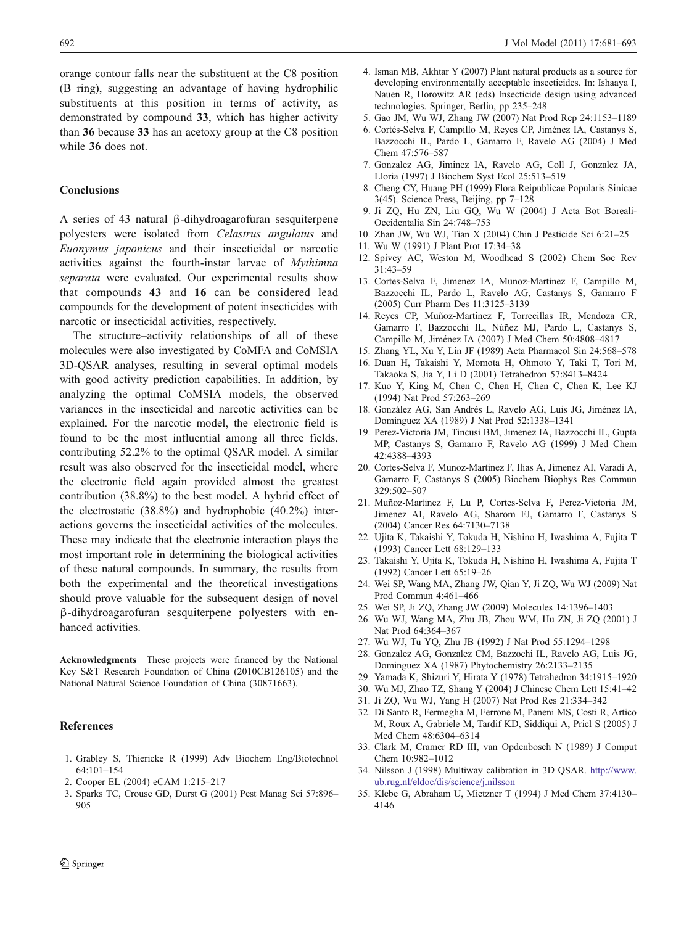<span id="page-11-0"></span>orange contour falls near the substituent at the C8 position (B ring), suggesting an advantage of having hydrophilic substituents at this position in terms of activity, as demonstrated by compound 33, which has higher activity than 36 because 33 has an acetoxy group at the C8 position while 36 does not.

## **Conclusions**

A series of 43 natural β-dihydroagarofuran sesquiterpene polyesters were isolated from Celastrus angulatus and Euonymus japonicus and their insecticidal or narcotic activities against the fourth-instar larvae of Mythimna separata were evaluated. Our experimental results show that compounds 43 and 16 can be considered lead compounds for the development of potent insecticides with narcotic or insecticidal activities, respectively.

The structure–activity relationships of all of these molecules were also investigated by CoMFA and CoMSIA 3D-QSAR analyses, resulting in several optimal models with good activity prediction capabilities. In addition, by analyzing the optimal CoMSIA models, the observed variances in the insecticidal and narcotic activities can be explained. For the narcotic model, the electronic field is found to be the most influential among all three fields, contributing 52.2% to the optimal QSAR model. A similar result was also observed for the insecticidal model, where the electronic field again provided almost the greatest contribution (38.8%) to the best model. A hybrid effect of the electrostatic (38.8%) and hydrophobic (40.2%) interactions governs the insecticidal activities of the molecules. These may indicate that the electronic interaction plays the most important role in determining the biological activities of these natural compounds. In summary, the results from both the experimental and the theoretical investigations should prove valuable for the subsequent design of novel β-dihydroagarofuran sesquiterpene polyesters with enhanced activities.

Acknowledgments These projects were financed by the National Key S&T Research Foundation of China (2010CB126105) and the National Natural Science Foundation of China (30871663).

#### References

- 1. Grabley S, Thiericke R (1999) Adv Biochem Eng/Biotechnol 64:101–154
- 2. Cooper EL (2004) eCAM 1:215–217
- 3. Sparks TC, Crouse GD, Durst G (2001) Pest Manag Sci 57:896– 905
- 4. Isman MB, Akhtar Y (2007) Plant natural products as a source for developing environmentally acceptable insecticides. In: Ishaaya I, Nauen R, Horowitz AR (eds) Insecticide design using advanced technologies. Springer, Berlin, pp 235–248
- 5. Gao JM, Wu WJ, Zhang JW (2007) Nat Prod Rep 24:1153–1189
- 6. Cortés-Selva F, Campillo M, Reyes CP, Jiménez IA, Castanys S, Bazzocchi IL, Pardo L, Gamarro F, Ravelo AG (2004) J Med Chem 47:576–587
- 7. Gonzalez AG, Jiminez IA, Ravelo AG, Coll J, Gonzalez JA, Lloria (1997) J Biochem Syst Ecol 25:513–519
- 8. Cheng CY, Huang PH (1999) Flora Reipublicae Popularis Sinicae 3(45). Science Press, Beijing, pp 7–128
- 9. Ji ZQ, Hu ZN, Liu GQ, Wu W (2004) J Acta Bot Boreali-Occidentalia Sin 24:748–753
- 10. Zhan JW, Wu WJ, Tian X (2004) Chin J Pesticide Sci 6:21–25
- 11. Wu W (1991) J Plant Prot 17:34–38
- 12. Spivey AC, Weston M, Woodhead S (2002) Chem Soc Rev 31:43–59
- 13. Cortes-Selva F, Jimenez IA, Munoz-Martinez F, Campillo M, Bazzocchi IL, Pardo L, Ravelo AG, Castanys S, Gamarro F (2005) Curr Pharm Des 11:3125–3139
- 14. Reyes CP, Muñoz-Martinez F, Torrecillas IR, Mendoza CR, Gamarro F, Bazzocchi IL, Núñez MJ, Pardo L, Castanys S, Campillo M, Jiménez IA (2007) J Med Chem 50:4808–4817
- 15. Zhang YL, Xu Y, Lin JF (1989) Acta Pharmacol Sin 24:568–578
- 16. Duan H, Takaishi Y, Momota H, Ohmoto Y, Taki T, Tori M, Takaoka S, Jia Y, Li D (2001) Tetrahedron 57:8413–8424
- 17. Kuo Y, King M, Chen C, Chen H, Chen C, Chen K, Lee KJ (1994) Nat Prod 57:263–269
- 18. González AG, San Andrés L, Ravelo AG, Luis JG, Jiménez IA, Domínguez XA (1989) J Nat Prod 52:1338–1341
- 19. Perez-Victoria JM, Tincusi BM, Jimenez IA, Bazzocchi IL, Gupta MP, Castanys S, Gamarro F, Ravelo AG (1999) J Med Chem 42:4388–4393
- 20. Cortes-Selva F, Munoz-Martinez F, Ilias A, Jimenez AI, Varadi A, Gamarro F, Castanys S (2005) Biochem Biophys Res Commun 329:502–507
- 21. Muñoz-Martinez F, Lu P, Cortes-Selva F, Perez-Victoria JM, Jimenez AI, Ravelo AG, Sharom FJ, Gamarro F, Castanys S (2004) Cancer Res 64:7130–7138
- 22. Ujita K, Takaishi Y, Tokuda H, Nishino H, Iwashima A, Fujita T (1993) Cancer Lett 68:129–133
- 23. Takaishi Y, Ujita K, Tokuda H, Nishino H, Iwashima A, Fujita T (1992) Cancer Lett 65:19–26
- 24. Wei SP, Wang MA, Zhang JW, Qian Y, Ji ZQ, Wu WJ (2009) Nat Prod Commun 4:461–466
- 25. Wei SP, Ji ZQ, Zhang JW (2009) Molecules 14:1396–1403
- 26. Wu WJ, Wang MA, Zhu JB, Zhou WM, Hu ZN, Ji ZQ (2001) J Nat Prod 64:364–367
- 27. Wu WJ, Tu YQ, Zhu JB (1992) J Nat Prod 55:1294–1298
- 28. Gonzalez AG, Gonzalez CM, Bazzochi IL, Ravelo AG, Luis JG, Dominguez XA (1987) Phytochemistry 26:2133–2135
- 29. Yamada K, Shizuri Y, Hirata Y (1978) Tetrahedron 34:1915–1920
- 30. Wu MJ, Zhao TZ, Shang Y (2004) J Chinese Chem Lett 15:41–42
- 31. Ji ZQ, Wu WJ, Yang H (2007) Nat Prod Res 21:334–342
- 32. Di Santo R, Fermeglia M, Ferrone M, Paneni MS, Costi R, Artico M, Roux A, Gabriele M, Tardif KD, Siddiqui A, Pricl S (2005) J Med Chem 48:6304–6314
- 33. Clark M, Cramer RD III, van Opdenbosch N (1989) J Comput Chem 10:982–1012
- 34. Nilsson J (1998) Multiway calibration in 3D QSAR. [http://www.](http://www.ub.rug.nl/eldoc/dis/science/j.nilsson) [ub.rug.nl/eldoc/dis/science/j.nilsson](http://www.ub.rug.nl/eldoc/dis/science/j.nilsson)
- 35. Klebe G, Abraham U, Mietzner T (1994) J Med Chem 37:4130– 4146